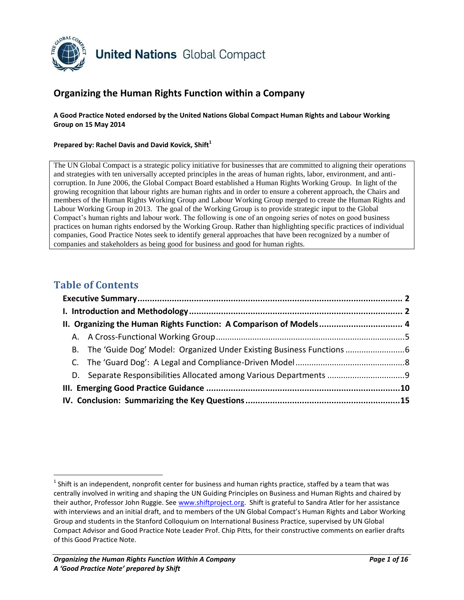

# **Organizing the Human Rights Function within a Company**

**A Good Practice Noted endorsed by the United Nations Global Compact Human Rights and Labour Working Group on 15 May 2014**

#### **Prepared by: Rachel Davis and David Kovick, Shift<sup>1</sup>**

The UN Global Compact is a strategic policy initiative for businesses that are committed to aligning their operations and strategies with ten universally accepted principles in the areas of human rights, labor, environment, and anticorruption. In June 2006, the Global Compact Board established a Human Rights Working Group. In light of the growing recognition that labour rights are human rights and in order to ensure a coherent approach, the Chairs and members of the Human Rights Working Group and Labour Working Group merged to create the Human Rights and Labour Working Group in 2013. The goal of the Working Group is to provide strategic input to the Global Compact's human rights and labour work. The following is one of an ongoing series of notes on good business practices on human rights endorsed by the Working Group. Rather than highlighting specific practices of individual companies, Good Practice Notes seek to identify general approaches that have been recognized by a number of companies and stakeholders as being good for business and good for human rights.

## **Table of Contents**

| II. Organizing the Human Rights Function: A Comparison of Models 4 |  |  |  |                                                                       |  |
|--------------------------------------------------------------------|--|--|--|-----------------------------------------------------------------------|--|
|                                                                    |  |  |  |                                                                       |  |
|                                                                    |  |  |  | B. The 'Guide Dog' Model: Organized Under Existing Business Functions |  |
|                                                                    |  |  |  |                                                                       |  |
|                                                                    |  |  |  |                                                                       |  |
|                                                                    |  |  |  |                                                                       |  |
|                                                                    |  |  |  |                                                                       |  |

 $^1$  Shift is an independent, nonprofit center for business and human rights practice, staffed by a team that was centrally involved in writing and shaping the UN Guiding Principles on Business and Human Rights and chaired by their author, Professor John Ruggie. Se[e www.shiftproject.org.](http://www.shiftproject.org/) Shift is grateful to Sandra Atler for her assistance with interviews and an initial draft, and to members of the UN Global Compact's Human Rights and Labor Working Group and students in the Stanford Colloquium on International Business Practice, supervised by UN Global Compact Advisor and Good Practice Note Leader Prof. Chip Pitts, for their constructive comments on earlier drafts of this Good Practice Note.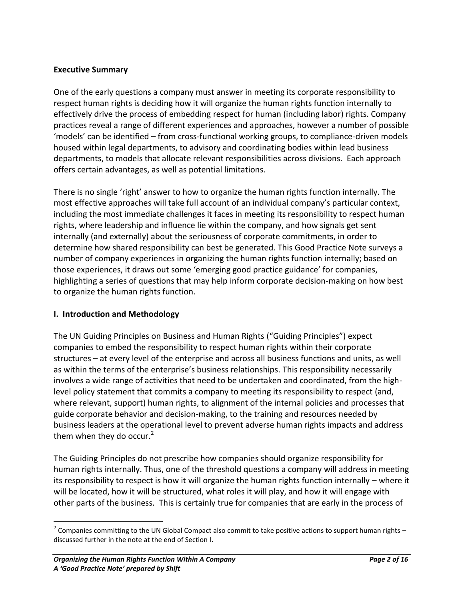#### **Executive Summary**

One of the early questions a company must answer in meeting its corporate responsibility to respect human rights is deciding how it will organize the human rights function internally to effectively drive the process of embedding respect for human (including labor) rights. Company practices reveal a range of different experiences and approaches, however a number of possible 'models' can be identified – from cross-functional working groups, to compliance-driven models housed within legal departments, to advisory and coordinating bodies within lead business departments, to models that allocate relevant responsibilities across divisions. Each approach offers certain advantages, as well as potential limitations.

There is no single 'right' answer to how to organize the human rights function internally. The most effective approaches will take full account of an individual company's particular context, including the most immediate challenges it faces in meeting its responsibility to respect human rights, where leadership and influence lie within the company, and how signals get sent internally (and externally) about the seriousness of corporate commitments, in order to determine how shared responsibility can best be generated. This Good Practice Note surveys a number of company experiences in organizing the human rights function internally; based on those experiences, it draws out some 'emerging good practice guidance' for companies, highlighting a series of questions that may help inform corporate decision-making on how best to organize the human rights function.

#### **I. Introduction and Methodology**

The UN Guiding Principles on Business and Human Rights ("Guiding Principles") expect companies to embed the responsibility to respect human rights within their corporate structures – at every level of the enterprise and across all business functions and units, as well as within the terms of the enterprise's business relationships. This responsibility necessarily involves a wide range of activities that need to be undertaken and coordinated, from the highlevel policy statement that commits a company to meeting its responsibility to respect (and, where relevant, support) human rights, to alignment of the internal policies and processes that guide corporate behavior and decision-making, to the training and resources needed by business leaders at the operational level to prevent adverse human rights impacts and address them when they do occur.<sup>2</sup>

The Guiding Principles do not prescribe how companies should organize responsibility for human rights internally. Thus, one of the threshold questions a company will address in meeting its responsibility to respect is how it will organize the human rights function internally – where it will be located, how it will be structured, what roles it will play, and how it will engage with other parts of the business. This is certainly true for companies that are early in the process of

<sup>&</sup>lt;sup>2</sup> Companies committing to the UN Global Compact also commit to take positive actions to support human rights – discussed further in the note at the end of Section I.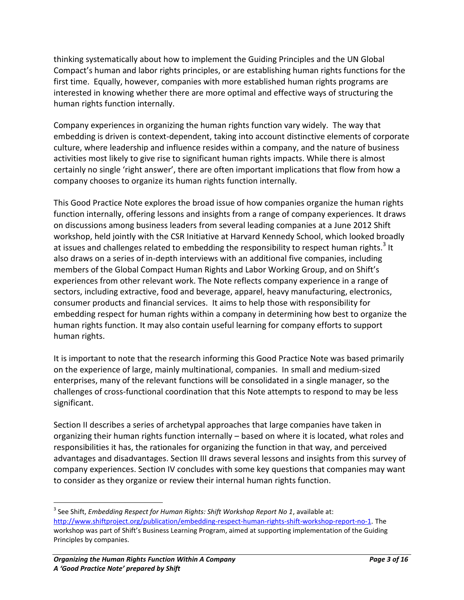thinking systematically about how to implement the Guiding Principles and the UN Global Compact's human and labor rights principles, or are establishing human rights functions for the first time. Equally, however, companies with more established human rights programs are interested in knowing whether there are more optimal and effective ways of structuring the human rights function internally.

Company experiences in organizing the human rights function vary widely. The way that embedding is driven is context-dependent, taking into account distinctive elements of corporate culture, where leadership and influence resides within a company, and the nature of business activities most likely to give rise to significant human rights impacts. While there is almost certainly no single 'right answer', there are often important implications that flow from how a company chooses to organize its human rights function internally.

This Good Practice Note explores the broad issue of how companies organize the human rights function internally, offering lessons and insights from a range of company experiences. It draws on discussions among business leaders from several leading companies at a June 2012 Shift workshop, held jointly with the CSR Initiative at Harvard Kennedy School, which looked broadly at issues and challenges related to embedding the responsibility to respect human rights.<sup>3</sup> It also draws on a series of in-depth interviews with an additional five companies, including members of the Global Compact Human Rights and Labor Working Group, and on Shift's experiences from other relevant work. The Note reflects company experience in a range of sectors, including extractive, food and beverage, apparel, heavy manufacturing, electronics, consumer products and financial services. It aims to help those with responsibility for embedding respect for human rights within a company in determining how best to organize the human rights function. It may also contain useful learning for company efforts to support human rights.

It is important to note that the research informing this Good Practice Note was based primarily on the experience of large, mainly multinational, companies. In small and medium-sized enterprises, many of the relevant functions will be consolidated in a single manager, so the challenges of cross-functional coordination that this Note attempts to respond to may be less significant.

Section II describes a series of archetypal approaches that large companies have taken in organizing their human rights function internally – based on where it is located, what roles and responsibilities it has, the rationales for organizing the function in that way, and perceived advantages and disadvantages. Section III draws several lessons and insights from this survey of company experiences. Section IV concludes with some key questions that companies may want to consider as they organize or review their internal human rights function.

<sup>3</sup> See Shift, *Embedding Respect for Human Rights: Shift Workshop Report No 1*, available at: <http://www.shiftproject.org/publication/embedding-respect-human-rights-shift-workshop-report-no-1>. The workshop was part of Shift's Business Learning Program, aimed at supporting implementation of the Guiding Principles by companies.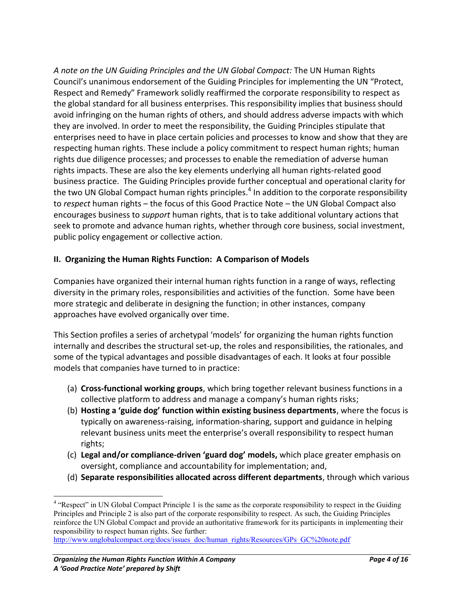*A note on the UN Guiding Principles and the UN Global Compact:* The UN Human Rights Council's unanimous endorsement of the Guiding Principles for implementing the UN "Protect, Respect and Remedy" Framework solidly reaffirmed the corporate responsibility to respect as the global standard for all business enterprises. This responsibility implies that business should avoid infringing on the human rights of others, and should address adverse impacts with which they are involved. In order to meet the responsibility, the Guiding Principles stipulate that enterprises need to have in place certain policies and processes to know and show that they are respecting human rights. These include a policy commitment to respect human rights; human rights due diligence processes; and processes to enable the remediation of adverse human rights impacts. These are also the key elements underlying all human rights-related good business practice. The Guiding Principles provide further conceptual and operational clarity for the two UN Global Compact human rights principles.<sup>4</sup> In addition to the corporate responsibility to *respect* human rights – the focus of this Good Practice Note – the UN Global Compact also encourages business to *support* human rights, that is to take additional voluntary actions that seek to promote and advance human rights, whether through core business, social investment, public policy engagement or collective action.

#### **II. Organizing the Human Rights Function: A Comparison of Models**

Companies have organized their internal human rights function in a range of ways, reflecting diversity in the primary roles, responsibilities and activities of the function. Some have been more strategic and deliberate in designing the function; in other instances, company approaches have evolved organically over time.

This Section profiles a series of archetypal 'models' for organizing the human rights function internally and describes the structural set-up, the roles and responsibilities, the rationales, and some of the typical advantages and possible disadvantages of each. It looks at four possible models that companies have turned to in practice:

- (a) **Cross-functional working groups**, which bring together relevant business functions in a collective platform to address and manage a company's human rights risks;
- (b) **Hosting a 'guide dog' function within existing business departments**, where the focus is typically on awareness-raising, information-sharing, support and guidance in helping relevant business units meet the enterprise's overall responsibility to respect human rights;
- (c) **Legal and/or compliance-driven 'guard dog' models,** which place greater emphasis on oversight, compliance and accountability for implementation; and,
- (d) **Separate responsibilities allocated across different departments**, through which various

 $\overline{a}$ <sup>4</sup> "Respect" in UN Global Compact Principle 1 is the same as the corporate responsibility to respect in the Guiding Principles and Principle 2 is also part of the corporate responsibility to respect. As such, the Guiding Principles reinforce the UN Global Compact and provide an authoritative framework for its participants in implementing their responsibility to respect human rights. See further:

[http://www.unglobalcompact.org/docs/issues\\_doc/human\\_rights/Resources/GPs\\_GC%20note.pdf](http://www.unglobalcompact.org/docs/issues_doc/human_rights/Resources/GPs_GC%20note.pdf)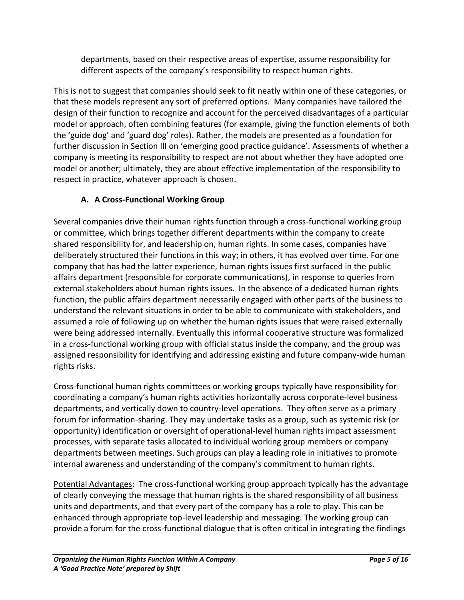departments, based on their respective areas of expertise, assume responsibility for different aspects of the company's responsibility to respect human rights.

This is not to suggest that companies should seek to fit neatly within one of these categories, or that these models represent any sort of preferred options. Many companies have tailored the design of their function to recognize and account for the perceived disadvantages of a particular model or approach, often combining features (for example, giving the function elements of both the 'guide dog' and 'guard dog' roles). Rather, the models are presented as a foundation for further discussion in Section III on 'emerging good practice guidance'. Assessments of whether a company is meeting its responsibility to respect are not about whether they have adopted one model or another; ultimately, they are about effective implementation of the responsibility to respect in practice, whatever approach is chosen.

# **A. A Cross-Functional Working Group**

Several companies drive their human rights function through a cross-functional working group or committee, which brings together different departments within the company to create shared responsibility for, and leadership on, human rights. In some cases, companies have deliberately structured their functions in this way; in others, it has evolved over time. For one company that has had the latter experience, human rights issues first surfaced in the public affairs department (responsible for corporate communications), in response to queries from external stakeholders about human rights issues. In the absence of a dedicated human rights function, the public affairs department necessarily engaged with other parts of the business to understand the relevant situations in order to be able to communicate with stakeholders, and assumed a role of following up on whether the human rights issues that were raised externally were being addressed internally. Eventually this informal cooperative structure was formalized in a cross-functional working group with official status inside the company, and the group was assigned responsibility for identifying and addressing existing and future company-wide human rights risks.

Cross-functional human rights committees or working groups typically have responsibility for coordinating a company's human rights activities horizontally across corporate-level business departments, and vertically down to country-level operations. They often serve as a primary forum for information-sharing. They may undertake tasks as a group, such as systemic risk (or opportunity) identification or oversight of operational-level human rights impact assessment processes, with separate tasks allocated to individual working group members or company departments between meetings. Such groups can play a leading role in initiatives to promote internal awareness and understanding of the company's commitment to human rights.

Potential Advantages: The cross-functional working group approach typically has the advantage of clearly conveying the message that human rights is the shared responsibility of all business units and departments, and that every part of the company has a role to play. This can be enhanced through appropriate top-level leadership and messaging. The working group can provide a forum for the cross-functional dialogue that is often critical in integrating the findings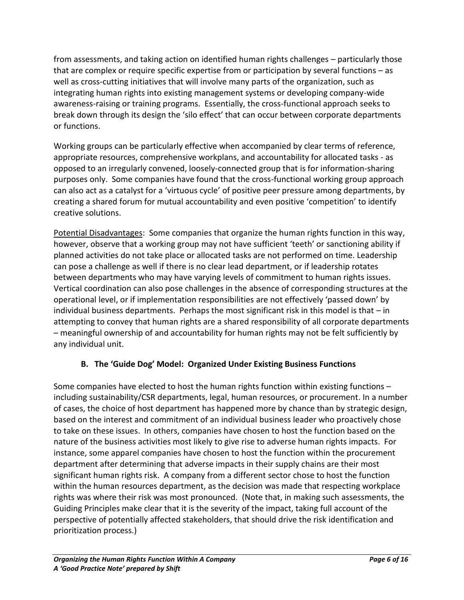from assessments, and taking action on identified human rights challenges – particularly those that are complex or require specific expertise from or participation by several functions – as well as cross-cutting initiatives that will involve many parts of the organization, such as integrating human rights into existing management systems or developing company-wide awareness-raising or training programs. Essentially, the cross-functional approach seeks to break down through its design the 'silo effect' that can occur between corporate departments or functions.

Working groups can be particularly effective when accompanied by clear terms of reference, appropriate resources, comprehensive workplans, and accountability for allocated tasks - as opposed to an irregularly convened, loosely-connected group that is for information-sharing purposes only. Some companies have found that the cross-functional working group approach can also act as a catalyst for a 'virtuous cycle' of positive peer pressure among departments, by creating a shared forum for mutual accountability and even positive 'competition' to identify creative solutions.

Potential Disadvantages: Some companies that organize the human rights function in this way, however, observe that a working group may not have sufficient 'teeth' or sanctioning ability if planned activities do not take place or allocated tasks are not performed on time. Leadership can pose a challenge as well if there is no clear lead department, or if leadership rotates between departments who may have varying levels of commitment to human rights issues. Vertical coordination can also pose challenges in the absence of corresponding structures at the operational level, or if implementation responsibilities are not effectively 'passed down' by individual business departments. Perhaps the most significant risk in this model is that  $-$  in attempting to convey that human rights are a shared responsibility of all corporate departments – meaningful ownership of and accountability for human rights may not be felt sufficiently by any individual unit.

# **B. The 'Guide Dog' Model: Organized Under Existing Business Functions**

Some companies have elected to host the human rights function within existing functions – including sustainability/CSR departments, legal, human resources, or procurement. In a number of cases, the choice of host department has happened more by chance than by strategic design, based on the interest and commitment of an individual business leader who proactively chose to take on these issues. In others, companies have chosen to host the function based on the nature of the business activities most likely to give rise to adverse human rights impacts. For instance, some apparel companies have chosen to host the function within the procurement department after determining that adverse impacts in their supply chains are their most significant human rights risk. A company from a different sector chose to host the function within the human resources department, as the decision was made that respecting workplace rights was where their risk was most pronounced. (Note that, in making such assessments, the Guiding Principles make clear that it is the severity of the impact, taking full account of the perspective of potentially affected stakeholders, that should drive the risk identification and prioritization process.)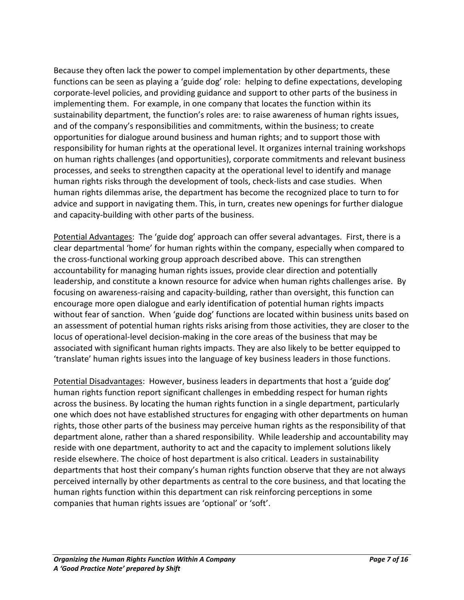Because they often lack the power to compel implementation by other departments, these functions can be seen as playing a 'guide dog' role: helping to define expectations, developing corporate-level policies, and providing guidance and support to other parts of the business in implementing them. For example, in one company that locates the function within its sustainability department, the function's roles are: to raise awareness of human rights issues, and of the company's responsibilities and commitments, within the business; to create opportunities for dialogue around business and human rights; and to support those with responsibility for human rights at the operational level. It organizes internal training workshops on human rights challenges (and opportunities), corporate commitments and relevant business processes, and seeks to strengthen capacity at the operational level to identify and manage human rights risks through the development of tools, check-lists and case studies. When human rights dilemmas arise, the department has become the recognized place to turn to for advice and support in navigating them. This, in turn, creates new openings for further dialogue and capacity-building with other parts of the business.

Potential Advantages: The 'guide dog' approach can offer several advantages. First, there is a clear departmental 'home' for human rights within the company, especially when compared to the cross-functional working group approach described above. This can strengthen accountability for managing human rights issues, provide clear direction and potentially leadership, and constitute a known resource for advice when human rights challenges arise. By focusing on awareness-raising and capacity-building, rather than oversight, this function can encourage more open dialogue and early identification of potential human rights impacts without fear of sanction. When 'guide dog' functions are located within business units based on an assessment of potential human rights risks arising from those activities, they are closer to the locus of operational-level decision-making in the core areas of the business that may be associated with significant human rights impacts. They are also likely to be better equipped to 'translate' human rights issues into the language of key business leaders in those functions.

Potential Disadvantages: However, business leaders in departments that host a 'guide dog' human rights function report significant challenges in embedding respect for human rights across the business. By locating the human rights function in a single department, particularly one which does not have established structures for engaging with other departments on human rights, those other parts of the business may perceive human rights as the responsibility of that department alone, rather than a shared responsibility. While leadership and accountability may reside with one department, authority to act and the capacity to implement solutions likely reside elsewhere. The choice of host department is also critical. Leaders in sustainability departments that host their company's human rights function observe that they are not always perceived internally by other departments as central to the core business, and that locating the human rights function within this department can risk reinforcing perceptions in some companies that human rights issues are 'optional' or 'soft'.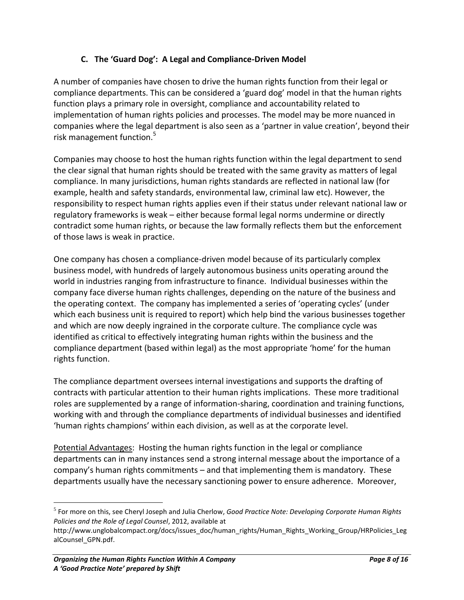#### **C. The 'Guard Dog': A Legal and Compliance-Driven Model**

A number of companies have chosen to drive the human rights function from their legal or compliance departments. This can be considered a 'guard dog' model in that the human rights function plays a primary role in oversight, compliance and accountability related to implementation of human rights policies and processes. The model may be more nuanced in companies where the legal department is also seen as a 'partner in value creation', beyond their risk management function.<sup>5</sup>

Companies may choose to host the human rights function within the legal department to send the clear signal that human rights should be treated with the same gravity as matters of legal compliance. In many jurisdictions, human rights standards are reflected in national law (for example, health and safety standards, environmental law, criminal law etc). However, the responsibility to respect human rights applies even if their status under relevant national law or regulatory frameworks is weak – either because formal legal norms undermine or directly contradict some human rights, or because the law formally reflects them but the enforcement of those laws is weak in practice.

One company has chosen a compliance-driven model because of its particularly complex business model, with hundreds of largely autonomous business units operating around the world in industries ranging from infrastructure to finance. Individual businesses within the company face diverse human rights challenges, depending on the nature of the business and the operating context. The company has implemented a series of 'operating cycles' (under which each business unit is required to report) which help bind the various businesses together and which are now deeply ingrained in the corporate culture. The compliance cycle was identified as critical to effectively integrating human rights within the business and the compliance department (based within legal) as the most appropriate 'home' for the human rights function.

The compliance department oversees internal investigations and supports the drafting of contracts with particular attention to their human rights implications. These more traditional roles are supplemented by a range of information-sharing, coordination and training functions, working with and through the compliance departments of individual businesses and identified 'human rights champions' within each division, as well as at the corporate level.

Potential Advantages: Hosting the human rights function in the legal or compliance departments can in many instances send a strong internal message about the importance of a company's human rights commitments – and that implementing them is mandatory. These departments usually have the necessary sanctioning power to ensure adherence. Moreover,

<sup>5</sup> For more on this, see Cheryl Joseph and Julia Cherlow, *Good Practice Note: Developing Corporate Human Rights Policies and the Role of Legal Counsel*, 2012, available at

[http://www.unglobalcompact.org/docs/issues\\_doc/human\\_rights/Human\\_Rights\\_Working\\_Group/HRPolicies\\_Leg](http://www.unglobalcompact.org/docs/issues_doc/human_rights/Human_Rights_Working_Group/HRPolicies_LegalCounsel_GPN.pdf) [alCounsel\\_GPN.pdf.](http://www.unglobalcompact.org/docs/issues_doc/human_rights/Human_Rights_Working_Group/HRPolicies_LegalCounsel_GPN.pdf)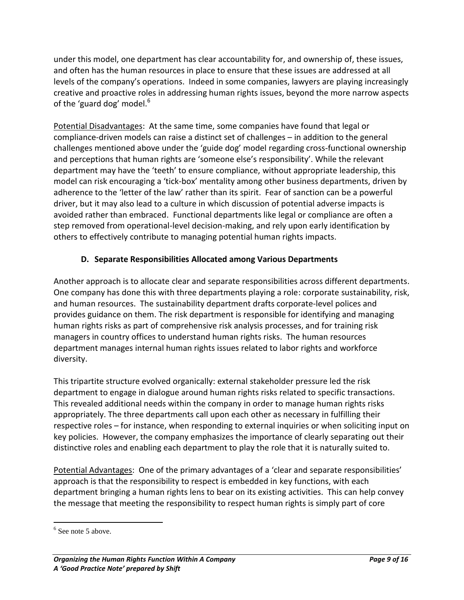under this model, one department has clear accountability for, and ownership of, these issues, and often has the human resources in place to ensure that these issues are addressed at all levels of the company's operations. Indeed in some companies, lawyers are playing increasingly creative and proactive roles in addressing human rights issues, beyond the more narrow aspects of the 'guard dog' model.<sup>6</sup>

Potential Disadvantages: At the same time, some companies have found that legal or compliance-driven models can raise a distinct set of challenges – in addition to the general challenges mentioned above under the 'guide dog' model regarding cross-functional ownership and perceptions that human rights are 'someone else's responsibility'. While the relevant department may have the 'teeth' to ensure compliance, without appropriate leadership, this model can risk encouraging a 'tick-box' mentality among other business departments, driven by adherence to the 'letter of the law' rather than its spirit. Fear of sanction can be a powerful driver, but it may also lead to a culture in which discussion of potential adverse impacts is avoided rather than embraced. Functional departments like legal or compliance are often a step removed from operational-level decision-making, and rely upon early identification by others to effectively contribute to managing potential human rights impacts.

## **D. Separate Responsibilities Allocated among Various Departments**

Another approach is to allocate clear and separate responsibilities across different departments. One company has done this with three departments playing a role: corporate sustainability, risk, and human resources. The sustainability department drafts corporate-level polices and provides guidance on them. The risk department is responsible for identifying and managing human rights risks as part of comprehensive risk analysis processes, and for training risk managers in country offices to understand human rights risks. The human resources department manages internal human rights issues related to labor rights and workforce diversity.

This tripartite structure evolved organically: external stakeholder pressure led the risk department to engage in dialogue around human rights risks related to specific transactions. This revealed additional needs within the company in order to manage human rights risks appropriately. The three departments call upon each other as necessary in fulfilling their respective roles – for instance, when responding to external inquiries or when soliciting input on key policies. However, the company emphasizes the importance of clearly separating out their distinctive roles and enabling each department to play the role that it is naturally suited to.

Potential Advantages: One of the primary advantages of a 'clear and separate responsibilities' approach is that the responsibility to respect is embedded in key functions, with each department bringing a human rights lens to bear on its existing activities. This can help convey the message that meeting the responsibility to respect human rights is simply part of core

 $\overline{a}$ <sup>6</sup> See note 5 above.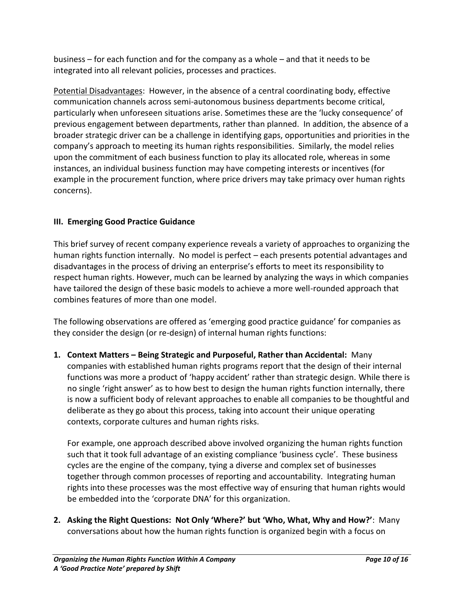business – for each function and for the company as a whole – and that it needs to be integrated into all relevant policies, processes and practices.

Potential Disadvantages: However, in the absence of a central coordinating body, effective communication channels across semi-autonomous business departments become critical, particularly when unforeseen situations arise. Sometimes these are the 'lucky consequence' of previous engagement between departments, rather than planned. In addition, the absence of a broader strategic driver can be a challenge in identifying gaps, opportunities and priorities in the company's approach to meeting its human rights responsibilities. Similarly, the model relies upon the commitment of each business function to play its allocated role, whereas in some instances, an individual business function may have competing interests or incentives (for example in the procurement function, where price drivers may take primacy over human rights concerns).

## **III. Emerging Good Practice Guidance**

This brief survey of recent company experience reveals a variety of approaches to organizing the human rights function internally. No model is perfect – each presents potential advantages and disadvantages in the process of driving an enterprise's efforts to meet its responsibility to respect human rights. However, much can be learned by analyzing the ways in which companies have tailored the design of these basic models to achieve a more well-rounded approach that combines features of more than one model.

The following observations are offered as 'emerging good practice guidance' for companies as they consider the design (or re-design) of internal human rights functions:

**1. Context Matters – Being Strategic and Purposeful, Rather than Accidental:** Many companies with established human rights programs report that the design of their internal functions was more a product of 'happy accident' rather than strategic design. While there is no single 'right answer' as to how best to design the human rights function internally, there is now a sufficient body of relevant approaches to enable all companies to be thoughtful and deliberate as they go about this process, taking into account their unique operating contexts, corporate cultures and human rights risks.

For example, one approach described above involved organizing the human rights function such that it took full advantage of an existing compliance 'business cycle'. These business cycles are the engine of the company, tying a diverse and complex set of businesses together through common processes of reporting and accountability. Integrating human rights into these processes was the most effective way of ensuring that human rights would be embedded into the 'corporate DNA' for this organization.

**2. Asking the Right Questions: Not Only 'Where?' but 'Who, What, Why and How?'**: Many conversations about how the human rights function is organized begin with a focus on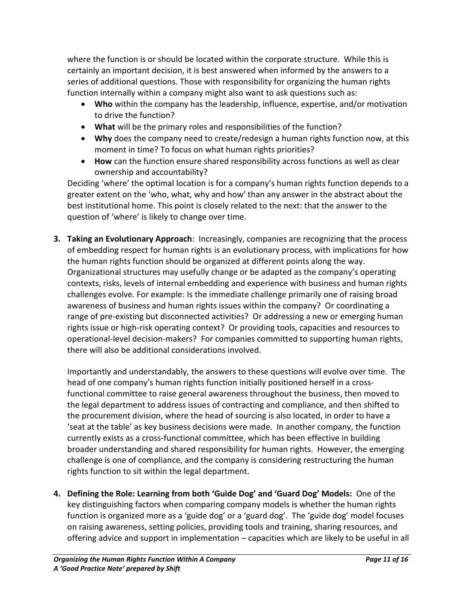where the function is or should be located within the corporate structure. While this is certainly an important decision, it is best answered when informed by the answers to a series of additional questions. Those with responsibility for organizing the human rights function internally within a company might also want to ask questions such as:

- **Who** within the company has the leadership, influence, expertise, and/or motivation to drive the function?
- **What** will be the primary roles and responsibilities of the function?
- **Why** does the company need to create/redesign a human rights function now, at this moment in time? To focus on what human rights priorities?
- **How** can the function ensure shared responsibility across functions as well as clear ownership and accountability?

Deciding 'where' the optimal location is for a company's human rights function depends to a greater extent on the 'who, what, why and how' than any answer in the abstract about the best institutional home. This point is closely related to the next: that the answer to the question of 'where' is likely to change over time.

**3. Taking an Evolutionary Approach**: Increasingly, companies are recognizing that the process of embedding respect for human rights is an evolutionary process, with implications for how the human rights function should be organized at different points along the way. Organizational structures may usefully change or be adapted as the company's operating contexts, risks, levels of internal embedding and experience with business and human rights challenges evolve. For example: Is the immediate challenge primarily one of raising broad awareness of business and human rights issues within the company? Or coordinating a range of pre-existing but disconnected activities? Or addressing a new or emerging human rights issue or high-risk operating context? Or providing tools, capacities and resources to operational-level decision-makers? For companies committed to supporting human rights, there will also be additional considerations involved.

Importantly and understandably, the answers to these questions will evolve over time. The head of one company's human rights function initially positioned herself in a crossfunctional committee to raise general awareness throughout the business, then moved to the legal department to address issues of contracting and compliance, and then shifted to the procurement division, where the head of sourcing is also located, in order to have a 'seat at the table' as key business decisions were made. In another company, the function currently exists as a cross-functional committee, which has been effective in building broader understanding and shared responsibility for human rights. However, the emerging challenge is one of compliance, and the company is considering restructuring the human rights function to sit within the legal department.

**4. Defining the Role: Learning from both 'Guide Dog' and 'Guard Dog' Models:** One of the key distinguishing factors when comparing company models is whether the human rights function is organized more as a 'guide dog' or a 'guard dog'. The 'guide dog' model focuses on raising awareness, setting policies, providing tools and training, sharing resources, and offering advice and support in implementation – capacities which are likely to be useful in all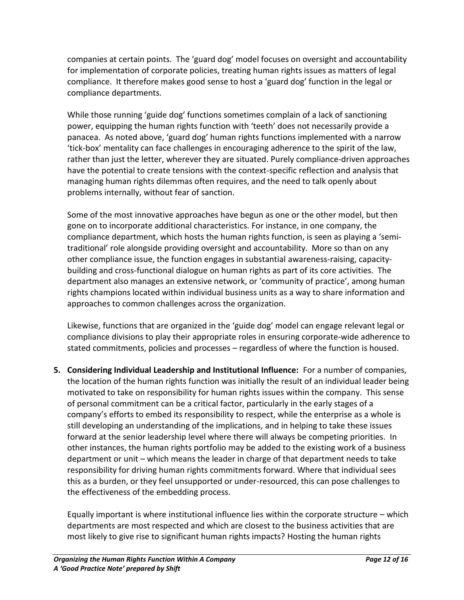companies at certain points. The 'guard dog' model focuses on oversight and accountability for implementation of corporate policies, treating human rights issues as matters of legal compliance. It therefore makes good sense to host a 'guard dog' function in the legal or compliance departments.

While those running 'guide dog' functions sometimes complain of a lack of sanctioning power, equipping the human rights function with 'teeth' does not necessarily provide a panacea. As noted above, 'guard dog' human rights functions implemented with a narrow 'tick-box' mentality can face challenges in encouraging adherence to the spirit of the law, rather than just the letter, wherever they are situated. Purely compliance-driven approaches have the potential to create tensions with the context-specific reflection and analysis that managing human rights dilemmas often requires, and the need to talk openly about problems internally, without fear of sanction.

Some of the most innovative approaches have begun as one or the other model, but then gone on to incorporate additional characteristics. For instance, in one company, the compliance department, which hosts the human rights function, is seen as playing a 'semitraditional' role alongside providing oversight and accountability. More so than on any other compliance issue, the function engages in substantial awareness-raising, capacitybuilding and cross-functional dialogue on human rights as part of its core activities. The department also manages an extensive network, or 'community of practice', among human rights champions located within individual business units as a way to share information and approaches to common challenges across the organization.

Likewise, functions that are organized in the 'guide dog' model can engage relevant legal or compliance divisions to play their appropriate roles in ensuring corporate-wide adherence to stated commitments, policies and processes – regardless of where the function is housed.

**5. Considering Individual Leadership and Institutional Influence:** For a number of companies, the location of the human rights function was initially the result of an individual leader being motivated to take on responsibility for human rights issues within the company. This sense of personal commitment can be a critical factor, particularly in the early stages of a company's efforts to embed its responsibility to respect, while the enterprise as a whole is still developing an understanding of the implications, and in helping to take these issues forward at the senior leadership level where there will always be competing priorities. In other instances, the human rights portfolio may be added to the existing work of a business department or unit – which means the leader in charge of that department needs to take responsibility for driving human rights commitments forward. Where that individual sees this as a burden, or they feel unsupported or under-resourced, this can pose challenges to the effectiveness of the embedding process.

Equally important is where institutional influence lies within the corporate structure – which departments are most respected and which are closest to the business activities that are most likely to give rise to significant human rights impacts? Hosting the human rights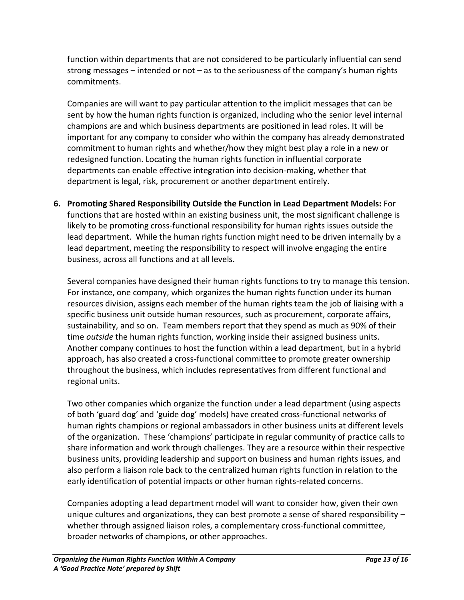function within departments that are not considered to be particularly influential can send strong messages – intended or not – as to the seriousness of the company's human rights commitments.

Companies are will want to pay particular attention to the implicit messages that can be sent by how the human rights function is organized, including who the senior level internal champions are and which business departments are positioned in lead roles. It will be important for any company to consider who within the company has already demonstrated commitment to human rights and whether/how they might best play a role in a new or redesigned function. Locating the human rights function in influential corporate departments can enable effective integration into decision-making, whether that department is legal, risk, procurement or another department entirely.

**6. Promoting Shared Responsibility Outside the Function in Lead Department Models:** For functions that are hosted within an existing business unit, the most significant challenge is likely to be promoting cross-functional responsibility for human rights issues outside the lead department. While the human rights function might need to be driven internally by a lead department, meeting the responsibility to respect will involve engaging the entire business, across all functions and at all levels.

Several companies have designed their human rights functions to try to manage this tension. For instance, one company, which organizes the human rights function under its human resources division, assigns each member of the human rights team the job of liaising with a specific business unit outside human resources, such as procurement, corporate affairs, sustainability, and so on. Team members report that they spend as much as 90% of their time *outside* the human rights function, working inside their assigned business units. Another company continues to host the function within a lead department, but in a hybrid approach, has also created a cross-functional committee to promote greater ownership throughout the business, which includes representatives from different functional and regional units.

Two other companies which organize the function under a lead department (using aspects of both 'guard dog' and 'guide dog' models) have created cross-functional networks of human rights champions or regional ambassadors in other business units at different levels of the organization. These 'champions' participate in regular community of practice calls to share information and work through challenges. They are a resource within their respective business units, providing leadership and support on business and human rights issues, and also perform a liaison role back to the centralized human rights function in relation to the early identification of potential impacts or other human rights-related concerns.

Companies adopting a lead department model will want to consider how, given their own unique cultures and organizations, they can best promote a sense of shared responsibility – whether through assigned liaison roles, a complementary cross-functional committee, broader networks of champions, or other approaches.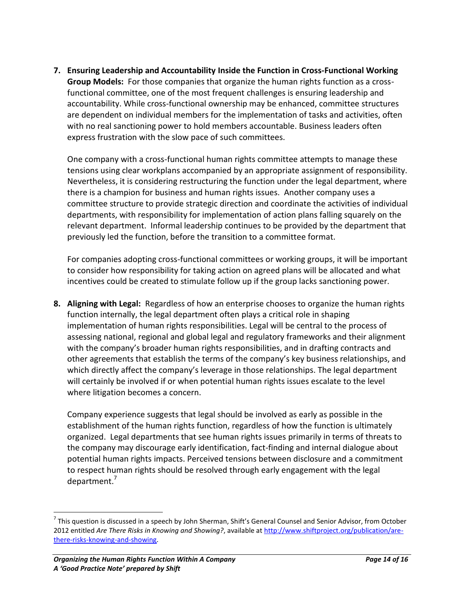**7. Ensuring Leadership and Accountability Inside the Function in Cross-Functional Working Group Models:** For those companies that organize the human rights function as a crossfunctional committee, one of the most frequent challenges is ensuring leadership and accountability. While cross-functional ownership may be enhanced, committee structures are dependent on individual members for the implementation of tasks and activities, often with no real sanctioning power to hold members accountable. Business leaders often express frustration with the slow pace of such committees.

One company with a cross-functional human rights committee attempts to manage these tensions using clear workplans accompanied by an appropriate assignment of responsibility. Nevertheless, it is considering restructuring the function under the legal department, where there is a champion for business and human rights issues. Another company uses a committee structure to provide strategic direction and coordinate the activities of individual departments, with responsibility for implementation of action plans falling squarely on the relevant department. Informal leadership continues to be provided by the department that previously led the function, before the transition to a committee format.

For companies adopting cross-functional committees or working groups, it will be important to consider how responsibility for taking action on agreed plans will be allocated and what incentives could be created to stimulate follow up if the group lacks sanctioning power.

**8. Aligning with Legal:** Regardless of how an enterprise chooses to organize the human rights function internally, the legal department often plays a critical role in shaping implementation of human rights responsibilities. Legal will be central to the process of assessing national, regional and global legal and regulatory frameworks and their alignment with the company's broader human rights responsibilities, and in drafting contracts and other agreements that establish the terms of the company's key business relationships, and which directly affect the company's leverage in those relationships. The legal department will certainly be involved if or when potential human rights issues escalate to the level where litigation becomes a concern.

Company experience suggests that legal should be involved as early as possible in the establishment of the human rights function, regardless of how the function is ultimately organized. Legal departments that see human rights issues primarily in terms of threats to the company may discourage early identification, fact-finding and internal dialogue about potential human rights impacts. Perceived tensions between disclosure and a commitment to respect human rights should be resolved through early engagement with the legal department.<sup>7</sup>

 $^7$  This question is discussed in a speech by John Sherman, Shift's General Counsel and Senior Advisor, from October 2012 entitled *Are There Risks in Knowing and Showing?*, available a[t http://www.shiftproject.org/publication/are](http://www.shiftproject.org/publication/are-there-risks-knowing-and-showing)[there-risks-knowing-and-showing.](http://www.shiftproject.org/publication/are-there-risks-knowing-and-showing)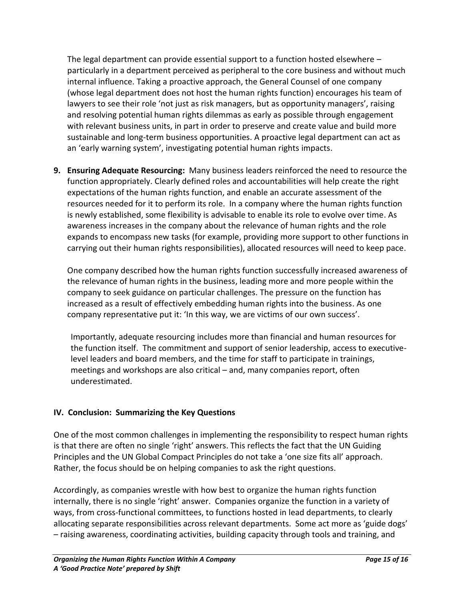The legal department can provide essential support to a function hosted elsewhere – particularly in a department perceived as peripheral to the core business and without much internal influence. Taking a proactive approach, the General Counsel of one company (whose legal department does not host the human rights function) encourages his team of lawyers to see their role 'not just as risk managers, but as opportunity managers', raising and resolving potential human rights dilemmas as early as possible through engagement with relevant business units, in part in order to preserve and create value and build more sustainable and long-term business opportunities. A proactive legal department can act as an 'early warning system', investigating potential human rights impacts.

**9. Ensuring Adequate Resourcing:** Many business leaders reinforced the need to resource the function appropriately. Clearly defined roles and accountabilities will help create the right expectations of the human rights function, and enable an accurate assessment of the resources needed for it to perform its role. In a company where the human rights function is newly established, some flexibility is advisable to enable its role to evolve over time. As awareness increases in the company about the relevance of human rights and the role expands to encompass new tasks (for example, providing more support to other functions in carrying out their human rights responsibilities), allocated resources will need to keep pace.

One company described how the human rights function successfully increased awareness of the relevance of human rights in the business, leading more and more people within the company to seek guidance on particular challenges. The pressure on the function has increased as a result of effectively embedding human rights into the business. As one company representative put it: 'In this way, we are victims of our own success'.

Importantly, adequate resourcing includes more than financial and human resources for the function itself. The commitment and support of senior leadership, access to executivelevel leaders and board members, and the time for staff to participate in trainings, meetings and workshops are also critical – and, many companies report, often underestimated.

#### **IV. Conclusion: Summarizing the Key Questions**

One of the most common challenges in implementing the responsibility to respect human rights is that there are often no single 'right' answers. This reflects the fact that the UN Guiding Principles and the UN Global Compact Principles do not take a 'one size fits all' approach. Rather, the focus should be on helping companies to ask the right questions.

Accordingly, as companies wrestle with how best to organize the human rights function internally, there is no single 'right' answer. Companies organize the function in a variety of ways, from cross-functional committees, to functions hosted in lead departments, to clearly allocating separate responsibilities across relevant departments. Some act more as 'guide dogs' – raising awareness, coordinating activities, building capacity through tools and training, and